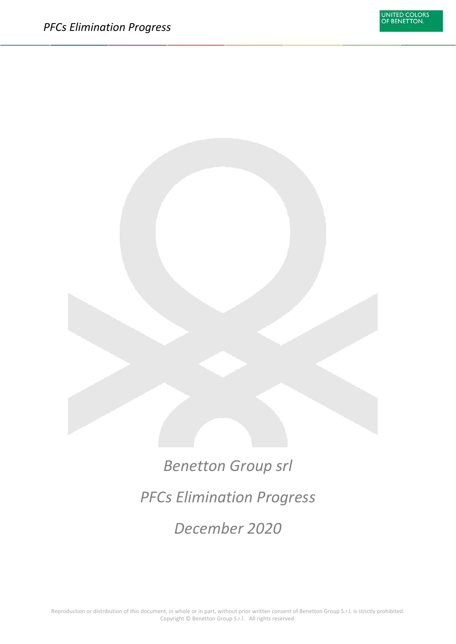*Benetton Group srl PFCs Elimination Progress December 2020*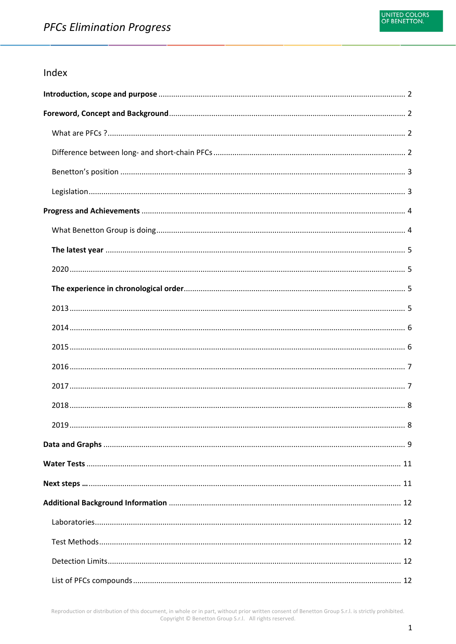### Index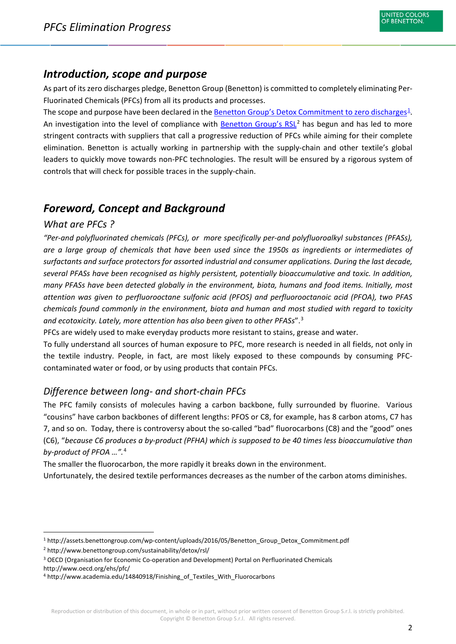# <span id="page-2-0"></span>*Introduction, scope and purpose*

As part of its zero discharges pledge, Benetton Group (Benetton) is committed to completely eliminating Per-Fluorinated Chemicals (PFCs) from all its products and processes.

The scope and purpose have been declared in the **Benetton Group's Detox Commitment to zero discharges**<sup>[1](#page-2-4)</sup>. An investigation into the level of compliance with [Benetton Group's RSL](http://www.benettongroup.com/sustainability/detox/rsl/)<sup>[2](#page-2-5)</sup> has begun and has led to more stringent contracts with suppliers that call a progressive reduction of PFCs while aiming for their complete elimination. Benetton is actually working in partnership with the supply-chain and other textile's global leaders to quickly move towards non-PFC technologies. The result will be ensured by a rigorous system of controls that will check for possible traces in the supply-chain.

# <span id="page-2-1"></span>*Foreword, Concept and Background*

## <span id="page-2-2"></span>*What are PFCs ?*

*"Per-and polyfluorinated chemicals (PFCs), or more specifically per-and polyfluoroalkyl substances (PFASs), are a large group of chemicals that have been used since the 1950s as ingredients or intermediates of surfactants and surface protectors for assorted industrial and consumer applications. During the last decade, several PFASs have been recognised as highly persistent, potentially bioaccumulative and toxic. In addition, many PFASs have been detected globally in the environment, biota, humans and food items. Initially, most attention was given to perfluorooctane sulfonic acid (PFOS) and perfluorooctanoic acid (PFOA), two PFAS chemicals found commonly in the environment, biota and human and most studied with regard to toxicity and ecotoxicity. Lately, more attention has also been given to other PFASs*".[3](#page-2-6)

PFCs are widely used to make everyday products more resistant to stains, grease and water.

To fully understand all sources of human exposure to PFC, more research is needed in all fields, not only in the textile industry. People, in fact, are most likely exposed to these compounds by consuming PFCcontaminated water or food, or by using products that contain PFCs.

### <span id="page-2-3"></span>*Difference between long- and short-chain PFCs*

The PFC family consists of molecules having a carbon backbone, fully surrounded by fluorine. Various "cousins" have carbon backbones of different lengths: PFOS or C8, for example, has 8 carbon atoms, C7 has 7, and so on. Today, there is controversy about the so-called "bad" fluorocarbons (C8) and the "good" ones (C6), "*because C6 produces a by-product (PFHA) which is supposed to be 40 times less bioaccumulative than by-product of PFOA …".* [4](#page-2-7)

The smaller the fluorocarbon, the more rapidly it breaks down in the environment.

Unfortunately, the desired textile performances decreases as the number of the carbon atoms diminishes.

<span id="page-2-4"></span> <sup>1</sup> http://assets.benettongroup.com/wp-content/uploads/2016/05/Benetton\_Group\_Detox\_Commitment.pdf

<span id="page-2-5"></span><sup>2</sup> http://www.benettongroup.com/sustainability/detox/rsl/

<span id="page-2-6"></span><sup>3</sup> OECD (Organisation for Economic Co-operation and Development) Portal on Perfluorinated Chemicals http://www.oecd.org/ehs/pfc/

<span id="page-2-7"></span><sup>&</sup>lt;sup>4</sup> http://www.academia.edu/14840918/Finishing\_of\_Textiles\_With\_Fluorocarbons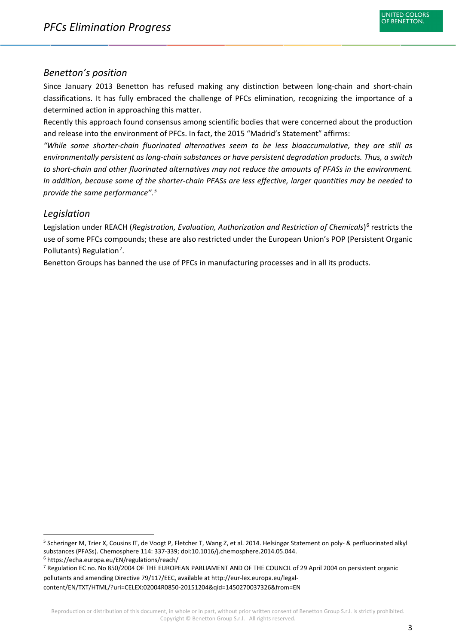#### <span id="page-3-0"></span>*Benetton's position*

Since January 2013 Benetton has refused making any distinction between long-chain and short-chain classifications. It has fully embraced the challenge of PFCs elimination, recognizing the importance of a determined action in approaching this matter.

Recently this approach found consensus among scientific bodies that were concerned about the production and release into the environment of PFCs. In fact, the 2015 "Madrid's Statement" affirms:

*"While some shorter-chain fluorinated alternatives seem to be less bioaccumulative, they are still as environmentally persistent as long-chain substances or have persistent degradation products. Thus, a switch to short-chain and other fluorinated alternatives may not reduce the amounts of PFASs in the environment. In addition, because some of the shorter-chain PFASs are less effective, larger quantities may be needed to provide the same performance". [5](#page-3-2)*

#### <span id="page-3-1"></span>*Legislation*

Legislation under REACH (*Registration, Evaluation, Authorization and Restriction of Chemicals*) [6](#page-3-3) restricts the use of some PFCs compounds; these are also restricted under the European Union's POP (Persistent Organic Pollutants) Regulation<sup>[7](#page-3-4)</sup>.

Benetton Groups has banned the use of PFCs in manufacturing processes and in all its products.

<span id="page-3-2"></span> <sup>5</sup> Scheringer M, Trier X, Cousins IT, de Voogt P, Fletcher T, Wang Z, et al. 2014. Helsingør Statement on poly- & perfluorinated alkyl substances (PFASs). Chemosphere 114: 337-339; doi:10.1016/j.chemosphere.2014.05.044.

<span id="page-3-3"></span><sup>6</sup> https://echa.europa.eu/EN/regulations/reach/

<span id="page-3-4"></span><sup>7</sup> Regulation EC no. No 850/2004 OF THE EUROPEAN PARLIAMENT AND OF THE COUNCIL of 29 April 2004 on persistent organic pollutants and amending Directive 79/117/EEC, available at http://eur-lex.europa.eu/legalcontent/EN/TXT/HTML/?uri=CELEX:02004R0850-20151204&qid=1450270037326&from=EN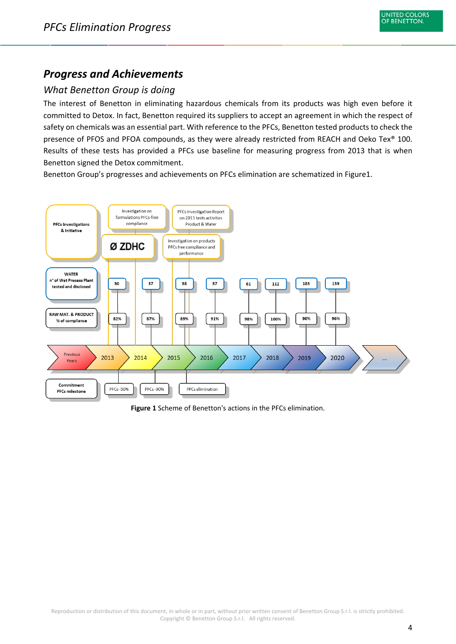# <span id="page-4-0"></span>*Progress and Achievements*

## <span id="page-4-1"></span>*What Benetton Group is doing*

The interest of Benetton in eliminating hazardous chemicals from its products was high even before it committed to Detox. In fact, Benetton required its suppliers to accept an agreement in which the respect of safety on chemicals was an essential part. With reference to the PFCs, Benetton tested products to check the presence of PFOS and PFOA compounds, as they were already restricted from REACH and Oeko Tex® 100. Results of these tests has provided a PFCs use baseline for measuring progress from 2013 that is when Benetton signed the Detox commitment.

Benetton Group's progresses and achievements on PFCs elimination are schematized in Figure1.



**Figure 1** Scheme of Benetton's actions in the PFCs elimination.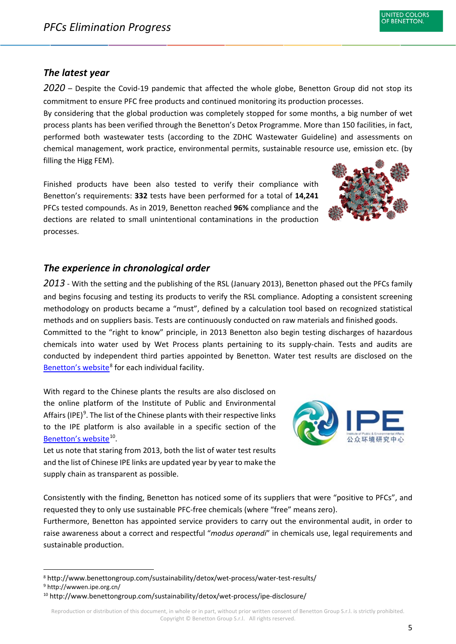### <span id="page-5-0"></span>*The latest year*

<span id="page-5-1"></span>*2020* – Despite the Covid-19 pandemic that affected the whole globe, Benetton Group did not stop its commitment to ensure PFC free products and continued monitoring its production processes.

By considering that the global production was completely stopped for some months, a big number of wet process plants has been verified through the Benetton's Detox Programme. More than 150 facilities, in fact, performed both wastewater tests (according to the ZDHC Wastewater Guideline) and assessments on chemical management, work practice, environmental permits, sustainable resource use, emission etc. (by filling the Higg FEM).

Finished products have been also tested to verify their compliance with Benetton's requirements: **332** tests have been performed for a total of **14,241** PFCs tested compounds. As in 2019, Benetton reached **96%** compliance and the dections are related to small unintentional contaminations in the production processes.

## <span id="page-5-2"></span>*The experience in chronological order*

<span id="page-5-3"></span>*2013* - With the setting and the publishing of the RSL (January 2013), Benetton phased out the PFCs family and begins focusing and testing its products to verify the RSL compliance. Adopting a consistent screening methodology on products became a "must", defined by a calculation tool based on recognized statistical methods and on suppliers basis. Tests are continuously conducted on raw materials and finished goods.

Committed to the "right to know" principle, in 2013 Benetton also begin testing discharges of hazardous chemicals into water used by Wet Process plants pertaining to its supply-chain. Tests and audits are conducted by independent third parties appointed by Benetton. Water test results are disclosed on the [Benetton's website](http://www.benettongroup.com/sustainability/detox/wet-process-list/water-test-results/)<sup>[8](#page-5-4)</sup> for each individual facility.

With regard to the Chinese plants the results are also disclosed on the online platform of the Institute of Public and Environmental Affairs (IPE)<sup>[9](#page-5-5)</sup>. The list of the Chinese plants with their respective links to the IPE platform is also available in a specific section of the [Benetton's website](http://www.benettongroup.com/sustainability/detox/wet-process/ipe-disclosure/)<sup>10</sup>.

Let us note that staring from 2013, both the list of water test results and the list of Chinese IPE links are updated year by year to make the supply chain as transparent as possible.

Consistently with the finding, Benetton has noticed some of its suppliers that were "positive to PFCs", and requested they to only use sustainable PFC-free chemicals (where "free" means zero).

Furthermore, Benetton has appointed service providers to carry out the environmental audit, in order to raise awareness about a correct and respectful "*modus operandi*" in chemicals use, legal requirements and sustainable production.





<span id="page-5-4"></span> <sup>8</sup> http://www.benettongroup.com/sustainability/detox/wet-process/water-test-results/

<span id="page-5-6"></span><span id="page-5-5"></span><sup>9</sup> http://wwwen.ipe.org.cn/

<sup>&</sup>lt;sup>10</sup> <http://www.benettongroup.com/sustainability/detox/wet-process/ipe-disclosure/>

Reproduction or distribution of this document, in whole or in part, without prior written consent of Benetton Group S.r.l. is strictly prohibited. Copyright © Benetton Group S.r.l. All rights reserved.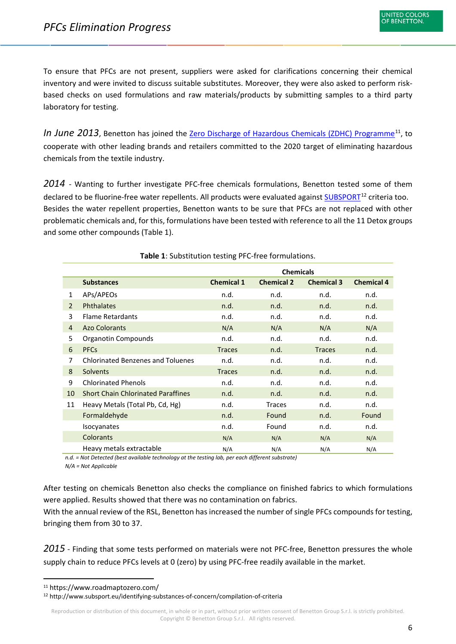To ensure that PFCs are not present, suppliers were asked for clarifications concerning their chemical inventory and were invited to discuss suitable substitutes. Moreover, they were also asked to perform riskbased checks on used formulations and raw materials/products by submitting samples to a third party laboratory for testing.

*In June 2013*, Benetton has joined the [Zero Discharge of Hazardous Chemicals \(ZDHC\) Programme](https://www.roadmaptozero.com/)<sup>[11](#page-6-2)</sup>, to cooperate with other leading brands and retailers committed to the 2020 target of eliminating hazardous chemicals from the textile industry.

<span id="page-6-0"></span>*2014* - Wanting to further investigate PFC-free chemicals formulations, Benetton tested some of them declared to be fluorine-free water repellents. All products were evaluated against [SUBSPORT](http://www.subsport.eu/identifying-substances-of-concern/compilation-of-criteria)<sup>[12](#page-6-3)</sup> criteria too. Besides the water repellent properties, Benetton wants to be sure that PFCs are not replaced with other problematic chemicals and, for this, formulations have been tested with reference to all the 11 Detox groups and some other compounds (Table 1).

|    |                                           | <b>Chemicals</b>  |                   |                   |                   |  |
|----|-------------------------------------------|-------------------|-------------------|-------------------|-------------------|--|
|    | <b>Substances</b>                         | <b>Chemical 1</b> | <b>Chemical 2</b> | <b>Chemical 3</b> | <b>Chemical 4</b> |  |
| 1  | APs/APEOs                                 | n.d.              | n.d.              | n.d.              | n.d.              |  |
| 2  | <b>Phthalates</b>                         | n.d.              | n.d.              | n.d.              | n.d.              |  |
| 3  | <b>Flame Retardants</b>                   | n.d.              | n.d.              | n.d.              | n.d.              |  |
| 4  | <b>Azo Colorants</b>                      | N/A               | N/A               | N/A               | N/A               |  |
| 5  | <b>Organotin Compounds</b>                | n.d.              | n.d.              | n.d.              | n.d.              |  |
| 6  | <b>PFCs</b>                               | <b>Traces</b>     | n.d.              | <b>Traces</b>     | n.d.              |  |
| 7  | <b>Chlorinated Benzenes and Toluenes</b>  | n.d.              | n.d.              | n.d.              | n.d.              |  |
| 8  | Solvents                                  | <b>Traces</b>     | n.d.              | n.d.              | n.d.              |  |
| 9  | <b>Chlorinated Phenols</b>                | n.d.              | n.d.              | n.d.              | n.d.              |  |
| 10 | <b>Short Chain Chlorinated Paraffines</b> | n.d.              | n.d.              | n.d.              | n.d.              |  |
| 11 | Heavy Metals (Total Pb, Cd, Hg)           | n.d.              | Traces            | n.d.              | n.d.              |  |
|    | Formaldehyde                              | n.d.              | Found             | n.d.              | Found             |  |
|    | <b>Isocyanates</b>                        | n.d.              | Found             | n.d.              | n.d.              |  |
|    | Colorants                                 | N/A               | N/A               | N/A               | N/A               |  |
|    | Heavy metals extractable                  | N/A               | N/A               | N/A               | N/A               |  |

**Table 1**: Substitution testing PFC-free formulations.

*n.d. = Not Detected (best available technology at the testing lab, per each different substrate) N/A = Not Applicable*

After testing on chemicals Benetton also checks the compliance on finished fabrics to which formulations were applied. Results showed that there was no contamination on fabrics.

With the annual review of the RSL, Benetton has increased the number of single PFCs compounds for testing, bringing them from 30 to 37.

<span id="page-6-1"></span>*2015* - Finding that some tests performed on materials were not PFC-free, Benetton pressures the whole supply chain to reduce PFCs levels at 0 (zero) by using PFC-free readily available in the market.

<span id="page-6-2"></span> <sup>11</sup> <https://www.roadmaptozero.com/>

<span id="page-6-3"></span><sup>12</sup> http://www.subsport.eu/identifying-substances-of-concern/compilation-of-criteria

Reproduction or distribution of this document, in whole or in part, without prior written consent of Benetton Group S.r.l. is strictly prohibited. Copyright © Benetton Group S.r.l. All rights reserved.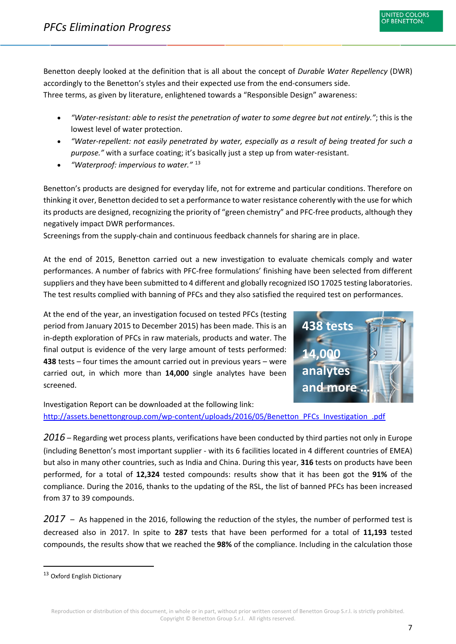

Benetton deeply looked at the definition that is all about the concept of *Durable Water Repellency* (DWR) accordingly to the Benetton's styles and their expected use from the end-consumers side. Three terms, as given by literature, enlightened towards a "Responsible Design" awareness:

- *"Water-resistant: able to resist the penetration of water to some degree but not entirely."*; this is the lowest level of water protection.
- *"Water-repellent: not easily penetrated by water, especially as a result of being treated for such a purpose."* with a surface coating; it's basically just a step up from water-resistant.
- *"Waterproof: impervious to water."* [13](#page-7-2)

Benetton's products are designed for everyday life, not for extreme and particular conditions. Therefore on thinking it over, Benetton decided to set a performance to water resistance coherently with the use for which its products are designed, recognizing the priority of "green chemistry" and PFC-free products, although they negatively impact DWR performances.

Screenings from the supply-chain and continuous feedback channels for sharing are in place.

At the end of 2015, Benetton carried out a new investigation to evaluate chemicals comply and water performances. A number of fabrics with PFC-free formulations' finishing have been selected from different suppliers and they have been submitted to 4 different and globally recognized ISO 17025 testing laboratories. The test results complied with banning of PFCs and they also satisfied the required test on performances.

At the end of the year, an investigation focused on tested PFCs (testing period from January 2015 to December 2015) has been made. This is an in-depth exploration of PFCs in raw materials, products and water. The final output is evidence of the very large amount of tests performed: **438** tests – four times the amount carried out in previous years – were carried out, in which more than **14,000** single analytes have been screened.



Investigation Report can be downloaded at the following link: [http://assets.benettongroup.com/wp-content/uploads/2016/05/Benetton\\_PFCs\\_Investigation\\_.pdf](http://assets.benettongroup.com/wp-content/uploads/2016/05/Benetton_PFCs_Investigation_.pdf)

<span id="page-7-0"></span>*2016* – Regarding wet process plants, verifications have been conducted by third parties not only in Europe (including Benetton's most important supplier - with its 6 facilities located in 4 different countries of EMEA) but also in many other countries, such as India and China. During this year, **316** tests on products have been performed, for a total of **12,324** tested compounds: results show that it has been got the **91%** of the compliance. During the 2016, thanks to the updating of the RSL, the list of banned PFCs has been increased from 37 to 39 compounds.

<span id="page-7-1"></span>*2017* – As happened in the 2016, following the reduction of the styles, the number of performed test is decreased also in 2017. In spite to **287** tests that have been performed for a total of **11,193** tested compounds, the results show that we reached the **98%** of the compliance. Including in the calculation those

<span id="page-7-2"></span> <sup>13</sup> Oxford English Dictionary

Reproduction or distribution of this document, in whole or in part, without prior written consent of Benetton Group S.r.l. is strictly prohibited. Copyright © Benetton Group S.r.l. All rights reserved.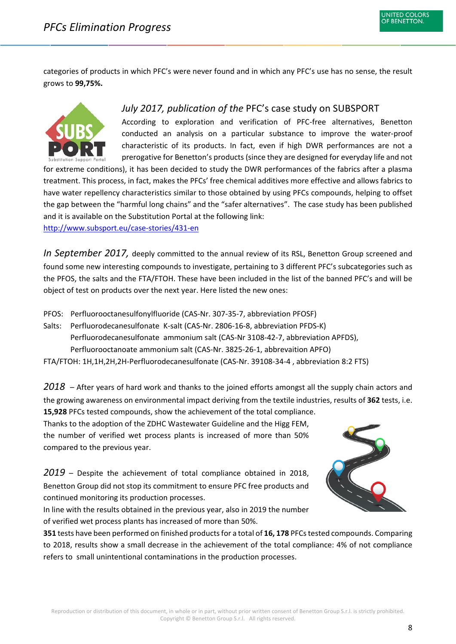categories of products in which PFC's were never found and in which any PFC's use has no sense, the result grows to **99,75%.**



### *July 2017, publication of the* PFC's case study on SUBSPORT

According to exploration and verification of PFC-free alternatives, Benetton conducted an analysis on a particular substance to improve the water-proof characteristic of its products. In fact, even if high DWR performances are not a prerogative for Benetton's products (since they are designed for everyday life and not

for extreme conditions), it has been decided to study the DWR performances of the fabrics after a plasma treatment. This process, in fact, makes the PFCs' free chemical additives more effective and allows fabrics to have water repellency characteristics similar to those obtained by using PFCs compounds, helping to offset the gap between the "harmful long chains" and the "safer alternatives". The case study has been published and it is available on the Substitution Portal at the following link:

<http://www.subsport.eu/case-stories/431-en>

*In September 2017,* deeply committed to the annual review of its RSL, Benetton Group screened and found some new interesting compounds to investigate, pertaining to 3 different PFC's subcategories such as the PFOS, the salts and the FTA/FTOH. These have been included in the list of the banned PFC's and will be object of test on products over the next year. Here listed the new ones:

PFOS: Perfluorooctanesulfonylfluoride (CAS-Nr. 307-35-7, abbreviation PFOSF)

Salts: Perfluorodecanesulfonate K-salt (CAS-Nr. 2806-16-8, abbreviation PFDS-K) Perfluorodecanesulfonate ammonium salt (CAS-Nr 3108-42-7, abbreviation APFDS), Perfluorooctanoate ammonium salt (CAS-Nr. 3825-26-1, abbrevaition APFO)

FTA/FTOH: 1H,1H,2H,2H-Perfluorodecanesulfonate (CAS-Nr. 39108-34-4 , abbreviation 8:2 FTS)

<span id="page-8-0"></span>*2018* – After years of hard work and thanks to the joined efforts amongst all the supply chain actors and the growing awareness on environmental impact deriving from the textile industries, results of **362** tests, i.e.

**15,928** PFCs tested compounds, show the achievement of the total compliance. Thanks to the adoption of the ZDHC Wastewater Guideline and the Higg FEM, the number of verified wet process plants is increased of more than 50% compared to the previous year.

<span id="page-8-1"></span>*2019* – Despite the achievement of total compliance obtained in 2018, Benetton Group did not stop its commitment to ensure PFC free products and continued monitoring its production processes.

In line with the results obtained in the previous year, also in 2019 the number of verified wet process plants has increased of more than 50%.



**351** tests have been performed on finished products for a total of **16, 178** PFCs tested compounds. Comparing to 2018, results show a small decrease in the achievement of the total compliance: 4% of not compliance refers to small unintentional contaminations in the production processes.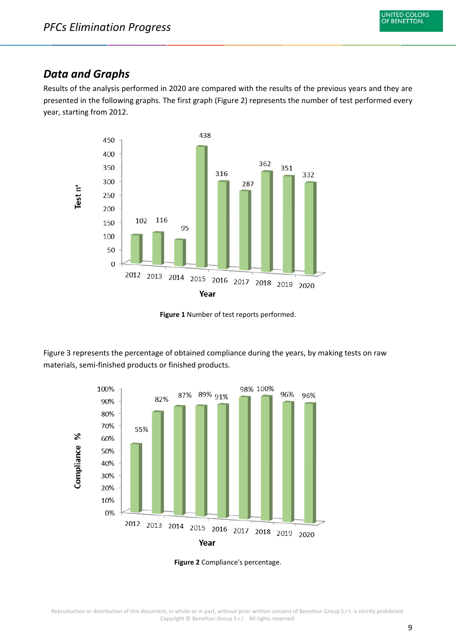## <span id="page-9-0"></span>*Data and Graphs*

Results of the analysis performed in 2020 are compared with the results of the previous years and they are presented in the following graphs. The first graph (Figure 2) represents the number of test performed every year, starting from 2012.



**Figure 1** Number of test reports performed.

Figure 3 represents the percentage of obtained compliance during the years, by making tests on raw materials, semi-finished products or finished products.



**Figure 2** Compliance's percentage.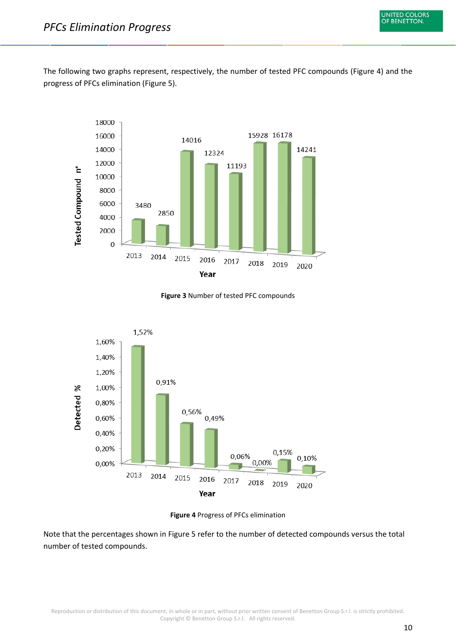The following two graphs represent, respectively, the number of tested PFC compounds (Figure 4) and the progress of PFCs elimination (Figure 5).



**Figure 3** Number of tested PFC compounds



**Figure 4** Progress of PFCs elimination

Note that the percentages shown in Figure 5 refer to the number of detected compounds versus the total number of tested compounds.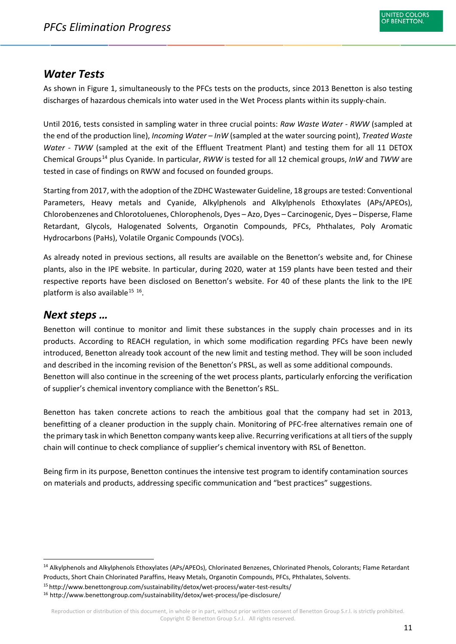# <span id="page-11-0"></span>*Water Tests*

As shown in Figure 1, simultaneously to the PFCs tests on the products, since 2013 Benetton is also testing discharges of hazardous chemicals into water used in the Wet Process plants within its supply-chain.

Until 2016, tests consisted in sampling water in three crucial points: *Raw Waste Water - RWW* (sampled at the end of the production line), *Incoming Water – InW* (sampled at the water sourcing point), *Treated Waste Water - TWW* (sampled at the exit of the Effluent Treatment Plant) and testing them for all 11 DETOX Chemical Groups[14](#page-11-2) plus Cyanide. In particular, *RWW* is tested for all 12 chemical groups, *InW* and *TWW* are tested in case of findings on RWW and focused on founded groups.

Starting from 2017, with the adoption of the ZDHC Wastewater Guideline, 18 groups are tested: Conventional Parameters, Heavy metals and Cyanide, Alkylphenols and Alkylphenols Ethoxylates (APs/APEOs), Chlorobenzenes and Chlorotoluenes, Chlorophenols, Dyes – Azo, Dyes – Carcinogenic, Dyes – Disperse, Flame Retardant, Glycols, Halogenated Solvents, Organotin Compounds, PFCs, Phthalates, Poly Aromatic Hydrocarbons (PaHs), Volatile Organic Compounds (VOCs).

As already noted in previous sections, all results are available on the Benetton's website and, for Chinese plants, also in the IPE website. In particular, during 2020, water at 159 plants have been tested and their respective reports have been disclosed on Benetton's website. For 40 of these plants the link to the IPE platform is also available<sup>[15](#page-11-3) [16](#page-11-4)</sup>.

## <span id="page-11-1"></span>*Next steps …*

Benetton will continue to monitor and limit these substances in the supply chain processes and in its products. According to REACH regulation, in which some modification regarding PFCs have been newly introduced, Benetton already took account of the new limit and testing method. They will be soon included and described in the incoming revision of the Benetton's PRSL, as well as some additional compounds. Benetton will also continue in the screening of the wet process plants, particularly enforcing the verification of supplier's chemical inventory compliance with the Benetton's RSL.

Benetton has taken concrete actions to reach the ambitious goal that the company had set in 2013, benefitting of a cleaner production in the supply chain. Monitoring of PFC-free alternatives remain one of the primary task in which Benetton company wants keep alive. Recurring verifications at all tiers of the supply chain will continue to check compliance of supplier's chemical inventory with RSL of Benetton.

Being firm in its purpose, Benetton continues the intensive test program to identify contamination sources on materials and products, addressing specific communication and "best practices" suggestions.

<span id="page-11-2"></span> <sup>14</sup> Alkylphenols and Alkylphenols Ethoxylates (APs/APEOs), Chlorinated Benzenes, Chlorinated Phenols, Colorants; Flame Retardant Products, Short Chain Chlorinated Paraffins, Heavy Metals, Organotin Compounds, PFCs, Phthalates, Solvents.

<span id="page-11-3"></span><sup>15</sup> http://www.benettongroup.com/sustainability/detox/wet-process/water-test-results/

<span id="page-11-4"></span><sup>16</sup> http://www.benettongroup.com/sustainability/detox/wet-process/ipe-disclosure/

Reproduction or distribution of this document, in whole or in part, without prior written consent of Benetton Group S.r.l. is strictly prohibited. Copyright © Benetton Group S.r.l. All rights reserved.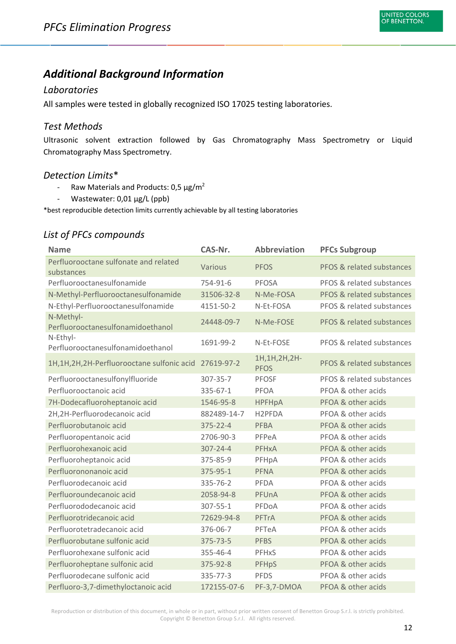# <span id="page-12-0"></span>*Additional Background Information*

#### <span id="page-12-1"></span>*Laboratories*

All samples were tested in globally recognized ISO 17025 testing laboratories.

#### <span id="page-12-2"></span>*Test Methods*

Ultrasonic solvent extraction followed by Gas Chromatography Mass Spectrometry or Liquid Chromatography Mass Spectrometry.

#### <span id="page-12-3"></span>*Detection Limits*\*

- Raw Materials and Products:  $0.5 \mu g/m^2$
- Wastewater: 0,01 µg/L (ppb)

\*best reproducible detection limits currently achievable by all testing laboratories

#### <span id="page-12-4"></span>*List of PFCs compounds*

| <b>Name</b>                                             | CAS-Nr.        | <b>Abbreviation</b>            | <b>PFCs Subgroup</b>      |
|---------------------------------------------------------|----------------|--------------------------------|---------------------------|
| Perfluorooctane sulfonate and related<br>substances     | Various        | <b>PFOS</b>                    | PFOS & related substances |
| Perfluorooctanesulfonamide                              | 754-91-6       | <b>PFOSA</b>                   | PFOS & related substances |
| N-Methyl-Perfluorooctanesulfonamide                     | 31506-32-8     | N-Me-FOSA                      | PFOS & related substances |
| N-Ethyl-Perfluorooctanesulfonamide                      | 4151-50-2      | N-Et-FOSA                      | PFOS & related substances |
| N-Methyl-<br>Perfluorooctanesulfonamidoethanol          | 24448-09-7     | N-Me-FOSE                      | PFOS & related substances |
| N-Ethyl-<br>Perfluorooctanesulfonamidoethanol           | 1691-99-2      | N-Et-FOSE                      | PFOS & related substances |
| 1H, 1H, 2H, 2H-Perfluorooctane sulfonic acid 27619-97-2 |                | 1H, 1H, 2H, 2H-<br><b>PFOS</b> | PFOS & related substances |
| Perfluorooctanesulfonylfluoride                         | 307-35-7       | <b>PFOSF</b>                   | PFOS & related substances |
| Perfluorooctanoic acid                                  | 335-67-1       | PFOA                           | PFOA & other acids        |
| 7H-Dodecafluoroheptanoic acid                           | 1546-95-8      | <b>HPFHpA</b>                  | PFOA & other acids        |
| 2H,2H-Perfluorodecanoic acid                            | 882489-14-7    | H <sub>2</sub> PFDA            | PFOA & other acids        |
| Perfluorobutanoic acid                                  | 375-22-4       | <b>PFBA</b>                    | PFOA & other acids        |
| Perfluoropentanoic acid                                 | 2706-90-3      | PFPeA                          | PFOA & other acids        |
| Perfluorohexanoic acid                                  | $307 - 24 - 4$ | <b>PFHxA</b>                   | PFOA & other acids        |
| Perfluoroheptanoic acid                                 | 375-85-9       | PFHpA                          | PFOA & other acids        |
| Perfluorononanoic acid                                  | 375-95-1       | <b>PFNA</b>                    | PFOA & other acids        |
| Perfluorodecanoic acid                                  | 335-76-2       | PFDA                           | PFOA & other acids        |
| Perfluoroundecanoic acid                                | 2058-94-8      | PFUnA                          | PFOA & other acids        |
| Perfluorododecanoic acid                                | 307-55-1       | PFDoA                          | PFOA & other acids        |
| Perfluorotridecanoic acid                               | 72629-94-8     | <b>PFTrA</b>                   | PFOA & other acids        |
| Perfluorotetradecanoic acid                             | 376-06-7       | PFTeA                          | PFOA & other acids        |
| Perfluorobutane sulfonic acid                           | 375-73-5       | <b>PFBS</b>                    | PFOA & other acids        |
| Perfluorohexane sulfonic acid                           | 355-46-4       | PFHxS                          | PFOA & other acids        |
| Perfluoroheptane sulfonic acid                          | 375-92-8       | <b>PFHpS</b>                   | PFOA & other acids        |
| Perfluorodecane sulfonic acid                           | 335-77-3       | <b>PFDS</b>                    | PFOA & other acids        |
| Perfluoro-3,7-dimethyloctanoic acid                     | 172155-07-6    | PF-3,7-DMOA                    | PFOA & other acids        |